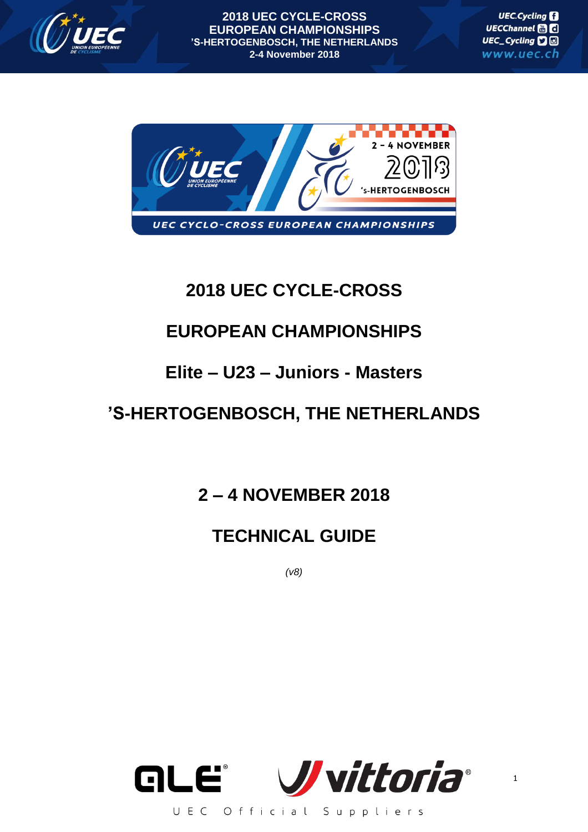

**UEC.Cycling** UECChannel HI C UEC\_Cycling **D** www.uec.ch



# **2018 UEC CYCLE-CROSS**

# **EUROPEAN CHAMPIONSHIPS**

# **Elite – U23 – Juniors - Masters**

# **'S-HERTOGENBOSCH, THE NETHERLANDS**

**2 – 4 NOVEMBER 2018**

# **TECHNICAL GUIDE**

*(v8)*

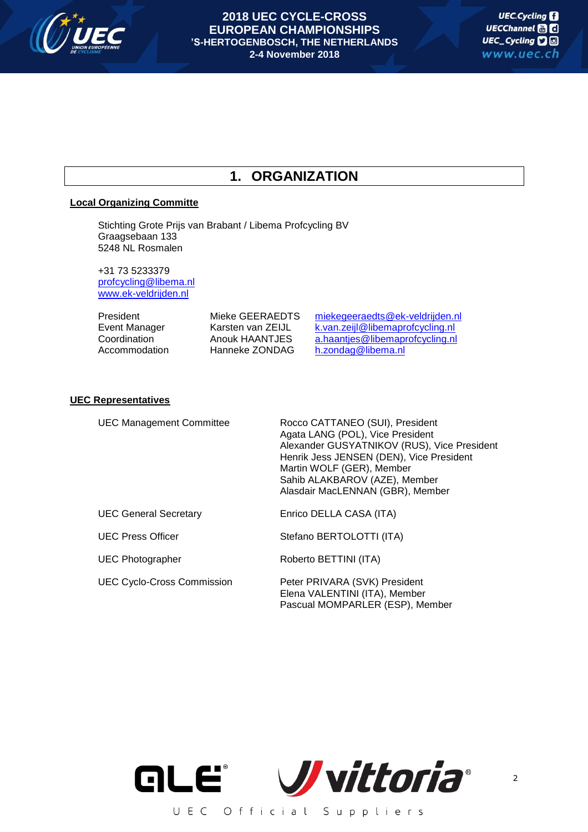

# **1. ORGANIZATION**

# **Local Organizing Committe**

Stichting Grote Prijs van Brabant / Libema Profcycling BV Graagsebaan 133 5248 NL Rosmalen

+31 73 5233379 [profcycling@libema.nl](mailto:profcycling@libema.nl) [www.ek-veldrijden.nl](http://www.ek-veldrijden.nl/)

| President     | Mieke GEERAEDTS   | miekegeeraedts@ek-veldrijden.nl  |
|---------------|-------------------|----------------------------------|
| Event Manager | Karsten van ZEIJL | k.van.zeijl@libemaprofcycling.nl |
| Coordination  | Anouk HAANTJES    | a.haantjes@libemaprofcycling.nl  |
| Accommodation | Hanneke ZONDAG    | h.zondag@libema.nl               |

# **UEC Representatives**

UEC Management Committee Rocco CATTANEO (SUI), President Agata LANG (POL), Vice President Alexander GUSYATNIKOV (RUS), Vice President Henrik Jess JENSEN (DEN), Vice President Martin WOLF (GER), Member Sahib ALAKBAROV (AZE), Member Alasdair MacLENNAN (GBR), Member

UEC General Secretary Enrico DELLA CASA (ITA)

UEC Cyclo-Cross Commission Peter PRIVARA (SVK) President

UEC Press Officer Stefano BERTOLOTTI (ITA)

UEC Photographer Roberto BETTINI (ITA)

Elena VALENTINI (ITA), Member Pascual MOMPARLER (ESP), Member

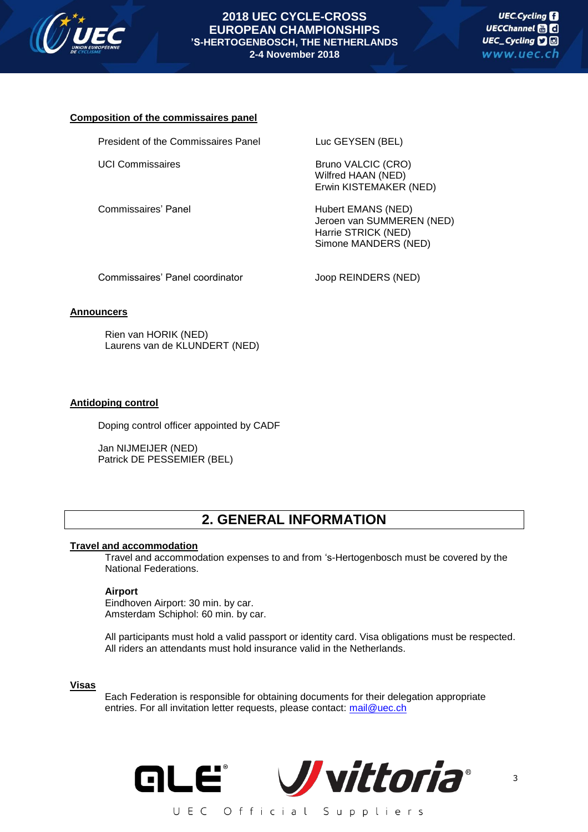

# **Composition of the commissaires panel**

President of the Commissaires Panel Luc GEYSEN (BEL)

UCI Commissaires Bruno VALCIC (CRO) Wilfred HAAN (NED) Erwin KISTEMAKER (NED)

Commissaires' Panel **Hubert EMANS** (NED) Jeroen van SUMMEREN (NED) Harrie STRICK (NED) Simone MANDERS (NED)

Commissaires' Panel coordinator **Joop REINDERS** (NED)

# **Announcers**

Rien van HORIK (NED) Laurens van de KLUNDERT (NED)

# **Antidoping control**

Doping control officer appointed by CADF

Jan NIJMEIJER (NED) Patrick DE PESSEMIER (BEL)

# **2. GENERAL INFORMATION**

# **Travel and accommodation**

Travel and accommodation expenses to and from 's-Hertogenbosch must be covered by the National Federations.

# **Airport**

Eindhoven Airport: 30 min. by car. Amsterdam Schiphol: 60 min. by car.

All participants must hold a valid passport or identity card. Visa obligations must be respected. All riders an attendants must hold insurance valid in the Netherlands.

# **Visas**

Each Federation is responsible for obtaining documents for their delegation appropriate entries. For all invitation letter requests, please contact: [mail@uec.ch](mailto:mail@uec.ch)

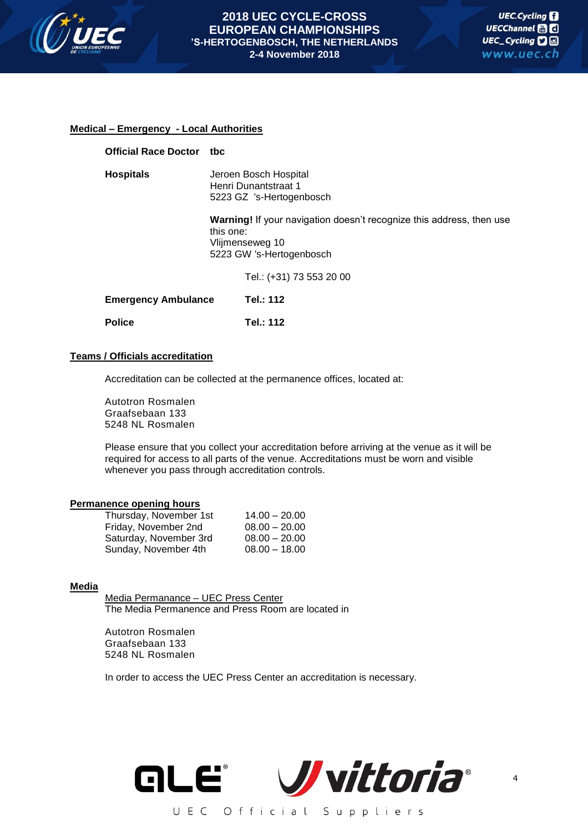

# **Medical – Emergency - Local Authorities**

| <b>Official Race Doctor</b> | tbc                                                                                                                                     |  |
|-----------------------------|-----------------------------------------------------------------------------------------------------------------------------------------|--|
| <b>Hospitals</b>            | Jeroen Bosch Hospital<br>Henri Dunantstraat 1<br>5223 GZ 's-Hertogenbosch                                                               |  |
|                             | <b>Warning!</b> If your navigation doesn't recognize this address, then use<br>this one:<br>Vlijmenseweg 10<br>5223 GW 's-Hertogenbosch |  |
|                             | Tel.: (+31) 73 553 20 00                                                                                                                |  |
| <b>Emergency Ambulance</b>  | Tel.: 112                                                                                                                               |  |
| <b>Police</b>               | Tel.: 112                                                                                                                               |  |

# **Teams / Officials accreditation**

Accreditation can be collected at the permanence offices, located at:

Autotron Rosmalen Graafsebaan 133 5248 NL Rosmalen

Please ensure that you collect your accreditation before arriving at the venue as it will be required for access to all parts of the venue. Accreditations must be worn and visible whenever you pass through accreditation controls.

#### **Permanence opening hours**

| Thursday, November 1st | $14.00 - 20.00$ |
|------------------------|-----------------|
| Friday, November 2nd   | $08.00 - 20.00$ |
| Saturday, November 3rd | $08.00 - 20.00$ |
| Sunday, November 4th   | $08.00 - 18.00$ |

# **Media**

Media Permanance – UEC Press Center The Media Permanence and Press Room are located in

Autotron Rosmalen Graafsebaan 133 5248 NL Rosmalen

In order to access the UEC Press Center an accreditation is necessary.

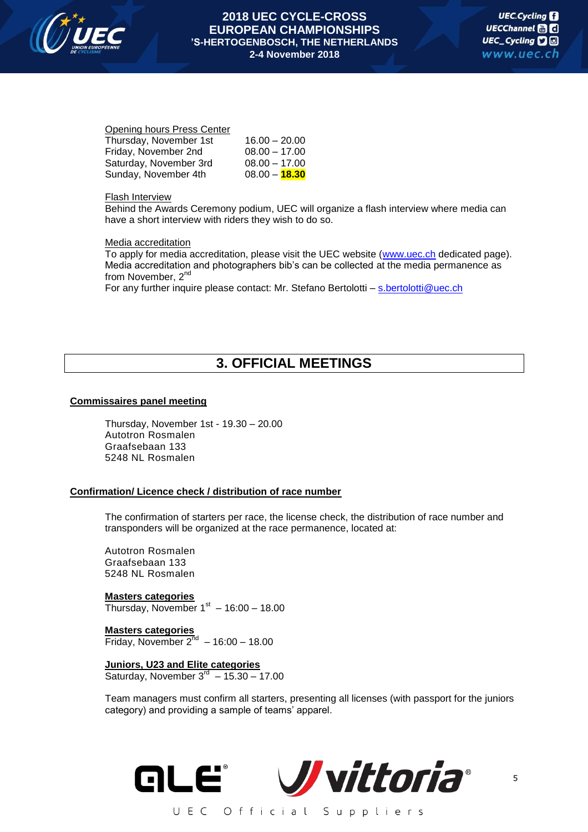

#### Opening hours Press Center

| Thursday, November 1st | $16.00 - 20.00$ |
|------------------------|-----------------|
| Friday, November 2nd   | $08.00 - 17.00$ |
| Saturday, November 3rd | $08.00 - 17.00$ |
| Sunday, November 4th   | $08.00 - 18.30$ |

#### Flash Interview

Behind the Awards Ceremony podium, UEC will organize a flash interview where media can have a short interview with riders they wish to do so.

# Media accreditation

To apply for media accreditation, please visit the UEC website [\(www.uec.ch](http://www.uec.ch/) dedicated page). Media accreditation and photographers bib's can be collected at the media permanence as from November, 2<sup>nd</sup>

For any further inquire please contact: Mr. Stefano Bertolotti – [s.bertolotti@uec.ch](mailto:s.bertolotti@uec.ch)

# **3. OFFICIAL MEETINGS**

# **Commissaires panel meeting**

Thursday, November 1st - 19.30 – 20.00 Autotron Rosmalen Graafsebaan 133 5248 NL Rosmalen

# **Confirmation/ Licence check / distribution of race number**

The confirmation of starters per race, the license check, the distribution of race number and transponders will be organized at the race permanence, located at:

Autotron Rosmalen Graafsebaan 133 5248 NL Rosmalen

**Masters categories** Thursday, November  $1<sup>st</sup> - 16:00 - 18.00$ 

**Masters categories** Friday, November  $2^{nd}$  – 16:00 – 18.00

**Juniors, U23 and Elite categories** Saturday, November  $3^{rd}$  – 15.30 – 17.00

Team managers must confirm all starters, presenting all licenses (with passport for the juniors category) and providing a sample of teams' apparel.

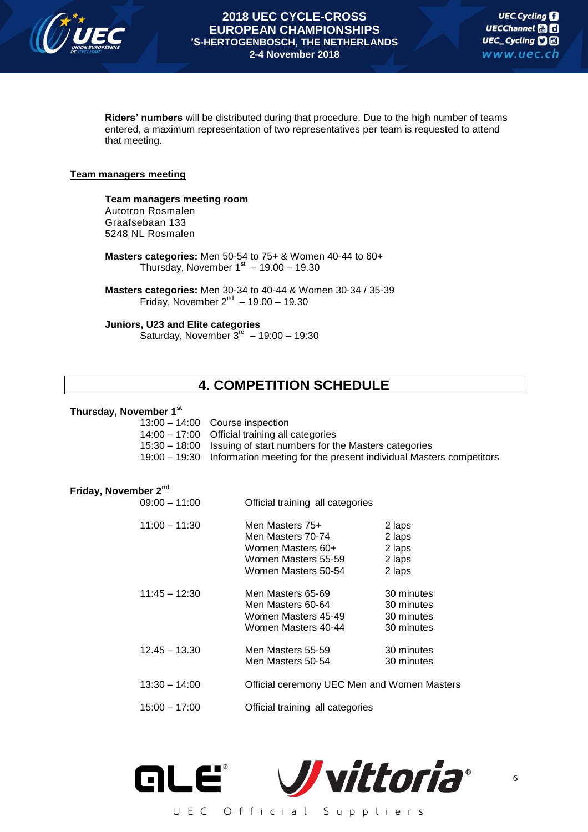

**Riders' numbers** will be distributed during that procedure. Due to the high number of teams entered, a maximum representation of two representatives per team is requested to attend that meeting.

# **Team managers meeting**

**Team managers meeting room** Autotron Rosmalen Graafsebaan 133 5248 NL Rosmalen

**Masters categories:** Men 50-54 to 75+ & Women 40-44 to 60+ Thursday, November  $1^\text{st}$  – 19.00 – 19.30

**Masters categories:** Men 30-34 to 40-44 & Women 30-34 / 35-39 Friday, November  $2^{nd} - 19.00 - 19.30$ 

**Juniors, U23 and Elite categories**

Saturday, November  $3^{rd}$  – 19:00 – 19:30

# **4. COMPETITION SCHEDULE**

# **Thursday, November 1st**

| $13:00 - 14:00$ Course inspection                                                |
|----------------------------------------------------------------------------------|
| $14:00 - 17:00$ Official training all categories                                 |
| 15:30 - 18:00 Issuing of start numbers for the Masters categories                |
| 19:00 - 19:30 Information meeting for the present individual Masters competitors |

#### **Friday, November 2nd**

| $09:00 - 11:00$ | Official training all categories                                                                        |                                                      |
|-----------------|---------------------------------------------------------------------------------------------------------|------------------------------------------------------|
| $11:00 - 11:30$ | Men Masters 75+<br>Men Masters 70-74<br>Women Masters 60+<br>Women Masters 55-59<br>Women Masters 50-54 | 2 laps<br>2 laps<br>2 laps<br>2 laps<br>2 laps       |
| $11:45 - 12:30$ | Men Masters 65-69<br>Men Masters 60-64<br>Women Masters 45-49<br>Women Masters 40-44                    | 30 minutes<br>30 minutes<br>30 minutes<br>30 minutes |
| $12.45 - 13.30$ | Men Masters 55-59<br>Men Masters 50-54                                                                  | 30 minutes<br>30 minutes                             |
| $13:30 - 14:00$ | Official ceremony UEC Men and Women Masters                                                             |                                                      |
| $15:00 - 17:00$ | Official training all categories                                                                        |                                                      |

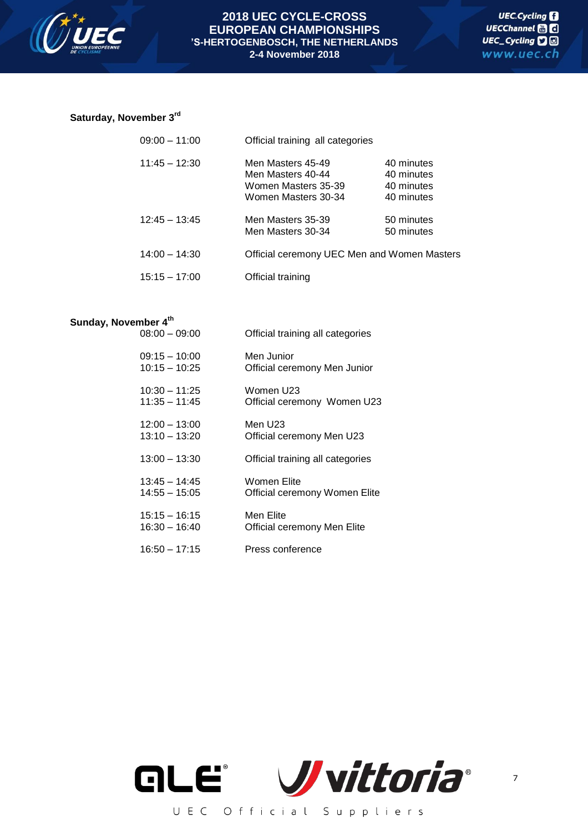

# **Saturday, November 3rd**

| $09:00 - 11:00$ | Official training all categories                                                     |                                                      |
|-----------------|--------------------------------------------------------------------------------------|------------------------------------------------------|
| $11:45 - 12:30$ | Men Masters 45-49<br>Men Masters 40-44<br>Women Masters 35-39<br>Women Masters 30-34 | 40 minutes<br>40 minutes<br>40 minutes<br>40 minutes |
| $12:45 - 13:45$ | Men Masters 35-39<br>Men Masters 30-34                                               | 50 minutes<br>50 minutes                             |
| $14:00 - 14:30$ | Official ceremony UEC Men and Women Masters                                          |                                                      |
| $15:15 - 17:00$ | Official training                                                                    |                                                      |

# **Sunday, November 4th**

| $08:00 - 09:00$ | Official training all categories |
|-----------------|----------------------------------|
| $09:15 - 10:00$ | Men Junior                       |
| $10:15 - 10:25$ | Official ceremony Men Junior     |
| $10:30 - 11:25$ | Women U23                        |
| 11:35 - 11:45   | Official ceremony Women U23      |
| $12:00 - 13:00$ | Men U23                          |
| $13:10 - 13:20$ | Official ceremony Men U23        |
| $13:00 - 13:30$ | Official training all categories |
| $13:45 - 14:45$ | Women Elite                      |
| 14:55 - 15:05   | Official ceremony Women Elite    |
| 15:15 - 16:15   | Men Elite                        |
| 16:30 - 16:40   | Official ceremony Men Elite      |
| $16:50 - 17:15$ | Press conference                 |

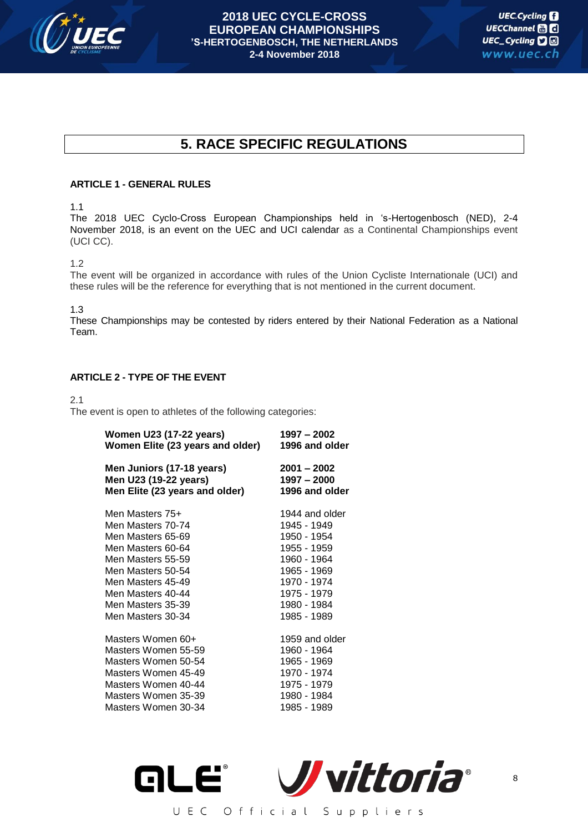

# **5. RACE SPECIFIC REGULATIONS**

# **ARTICLE 1 - GENERAL RULES**

1.1

The 2018 UEC Cyclo-Cross European Championships held in 's-Hertogenbosch (NED), 2-4 November 2018, is an event on the UEC and UCI calendar as a Continental Championships event (UCI CC).

1.2

The event will be organized in accordance with rules of the Union Cycliste Internationale (UCI) and these rules will be the reference for everything that is not mentioned in the current document.

1.3

These Championships may be contested by riders entered by their National Federation as a National Team.

# **ARTICLE 2 - TYPE OF THE EVENT**

2.1

The event is open to athletes of the following categories:

| <b>Women U23 (17-22 years)</b>   | $1997 - 2002$  |  |  |
|----------------------------------|----------------|--|--|
| Women Elite (23 years and older) | 1996 and older |  |  |
| Men Juniors (17-18 years)        | $2001 - 2002$  |  |  |
| Men U23 (19-22 years)            | $1997 - 2000$  |  |  |
| Men Elite (23 years and older)   | 1996 and older |  |  |
| Men Masters 75+                  | 1944 and older |  |  |
| Men Masters 70-74                | 1945 - 1949    |  |  |
| Men Masters 65-69                | 1950 - 1954    |  |  |
| Men Masters 60-64                | 1955 - 1959    |  |  |
| Men Masters 55-59                | 1960 - 1964    |  |  |
| Men Masters 50-54                | 1965 - 1969    |  |  |
| Men Masters 45-49                | 1970 - 1974    |  |  |
| Men Masters 40-44                | 1975 - 1979    |  |  |
| Men Masters 35-39                | 1980 - 1984    |  |  |
| Men Masters 30-34                | 1985 - 1989    |  |  |
| Masters Women 60+                | 1959 and older |  |  |
| Masters Women 55-59              | 1960 - 1964    |  |  |
| Masters Women 50-54              | 1965 - 1969    |  |  |
| Masters Women 45-49              | 1970 - 1974    |  |  |
| Masters Women 40-44              | 1975 - 1979    |  |  |
| Masters Women 35-39              | 1980 - 1984    |  |  |
| Masters Women 30-34              | 1985 - 1989    |  |  |

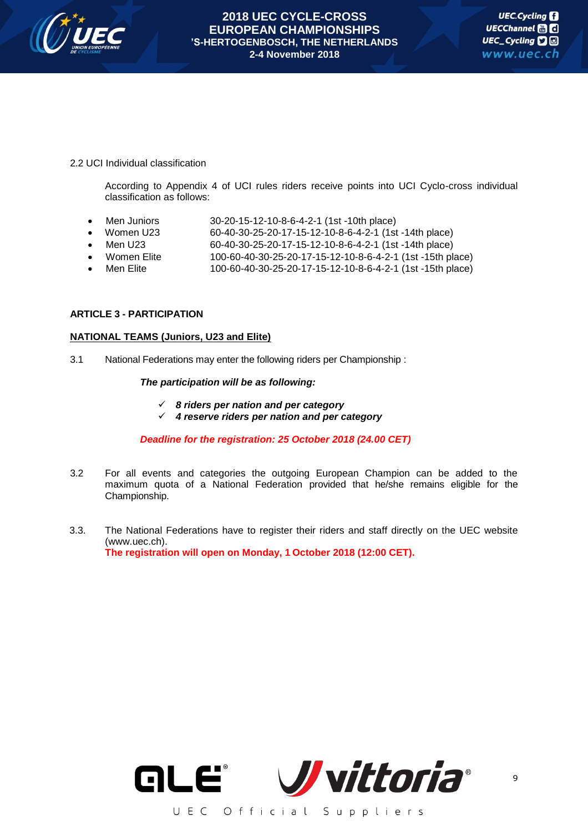

# 2.2 UCI Individual classification

According to Appendix 4 of UCI rules riders receive points into UCI Cyclo-cross individual classification as follows:

- 
- Men Juniors 30-20-15-12-10-8-6-4-2-1 (1st -10th place)<br>Women U23 60-40-30-25-20-17-15-12-10-8-6-4-2-1 (1st Women U23 60-40-30-25-20-17-15-12-10-8-6-4-2-1 (1st -14th place)
- Men U23 60-40-30-25-20-17-15-12-10-8-6-4-2-1 (1st -14th place)<br>Women Elite 100-60-40-30-25-20-17-15-12-10-8-6-4-2-1 (1st -15th pl
- Women Elite 100-60-40-30-25-20-17-15-12-10-8-6-4-2-1 (1st -15th place)
- Men Elite 100-60-40-30-25-20-17-15-12-10-8-6-4-2-1 (1st -15th place)

#### **ARTICLE 3 - PARTICIPATION**

#### **NATIONAL TEAMS (Juniors, U23 and Elite)**

3.1 National Federations may enter the following riders per Championship :

# *The participation will be as following:*

- *8 riders per nation and per category*
- *4 reserve riders per nation and per category*

# *Deadline for the registration: 25 October 2018 (24.00 CET)*

- 3.2 For all events and categories the outgoing European Champion can be added to the maximum quota of a National Federation provided that he/she remains eligible for the Championship.
- 3.3. The National Federations have to register their riders and staff directly on the UEC website (www.uec.ch). **The registration will open on Monday, 1 October 2018 (12:00 CET).**

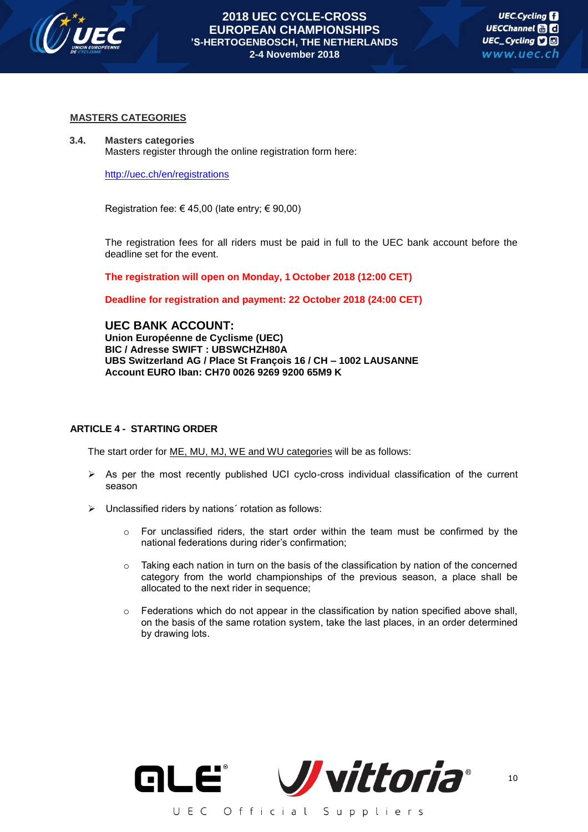

# **MASTERS CATEGORIES**

#### **3.4. Masters categories**

Masters register through the online registration form here:

<http://uec.ch/en/registrations>

Registration fee:  $\in$  45,00 (late entry;  $\in$  90,00)

The registration fees for all riders must be paid in full to the UEC bank account before the deadline set for the event.

**The registration will open on Monday, 1 October 2018 (12:00 CET)**

**Deadline for registration and payment: 22 October 2018 (24:00 CET)**

**UEC BANK ACCOUNT: Union Européenne de Cyclisme (UEC) BIC / Adresse SWIFT : UBSWCHZH80A UBS Switzerland AG / Place St François 16 / CH – 1002 LAUSANNE Account EURO Iban: CH70 0026 9269 9200 65M9 K**

# **ARTICLE 4 - STARTING ORDER**

The start order for ME, MU, MJ, WE and WU categories will be as follows:

- $\triangleright$  As per the most recently published UCI cyclo-cross individual classification of the current season
- Unclassified riders by nations´ rotation as follows:
	- $\circ$  For unclassified riders, the start order within the team must be confirmed by the national federations during rider's confirmation;
	- $\circ$  Taking each nation in turn on the basis of the classification by nation of the concerned category from the world championships of the previous season, a place shall be allocated to the next rider in sequence;
	- $\circ$  Federations which do not appear in the classification by nation specified above shall, on the basis of the same rotation system, take the last places, in an order determined by drawing lots.

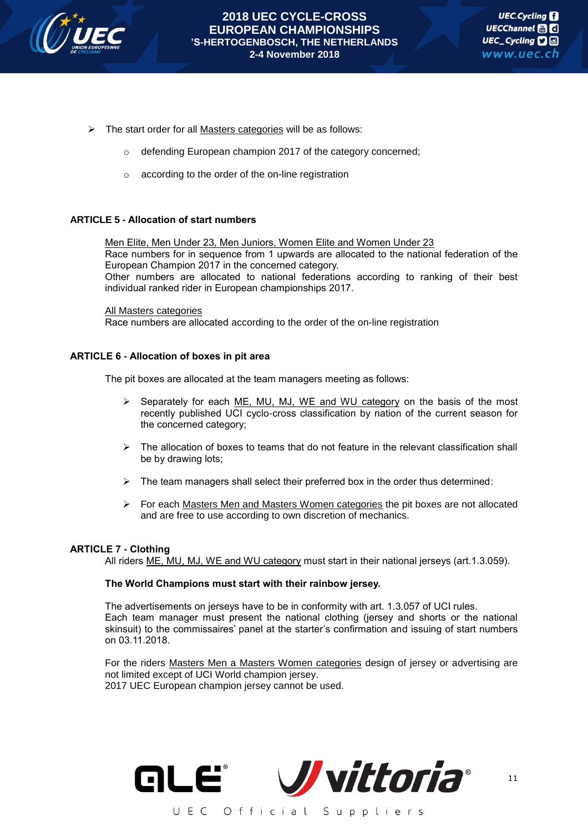

- $\triangleright$  The start order for all Masters categories will be as follows:
	- defending European champion 2017 of the category concerned;
	- o according to the order of the on-line registration

# **ARTICLE 5 - Allocation of start numbers**

Men Elite, Men Under 23, Men Juniors, Women Elite and Women Under 23 Race numbers for in sequence from 1 upwards are allocated to the national federation of the European Champion 2017 in the concerned category. Other numbers are allocated to national federations according to ranking of their best individual ranked rider in European championships 2017.

#### All Masters categories

Race numbers are allocated according to the order of the on-line registration

# **ARTICLE 6 - Allocation of boxes in pit area**

The pit boxes are allocated at the team managers meeting as follows:

- $\triangleright$  Separately for each ME, MU, MJ, WE and WU category on the basis of the most recently published UCI cyclo-cross classification by nation of the current season for the concerned category;
- $\triangleright$  The allocation of boxes to teams that do not feature in the relevant classification shall be by drawing lots;
- $\triangleright$  The team managers shall select their preferred box in the order thus determined:
- $\triangleright$  For each Masters Men and Masters Women categories the pit boxes are not allocated and are free to use according to own discretion of mechanics.

# **ARTICLE 7 - Clothing**

All riders ME, MU, MJ, WE and WU category must start in their national jerseys (art.1.3.059).

# **The World Champions must start with their rainbow jersey.**

The advertisements on jerseys have to be in conformity with art. 1.3.057 of UCI rules. Each team manager must present the national clothing (jersey and shorts or the national skinsuit) to the commissaires' panel at the starter's confirmation and issuing of start numbers on 03.11.2018.

For the riders Masters Men a Masters Women categories design of jersey or advertising are not limited except of UCI World champion jersey. 2017 UEC European champion jersey cannot be used.

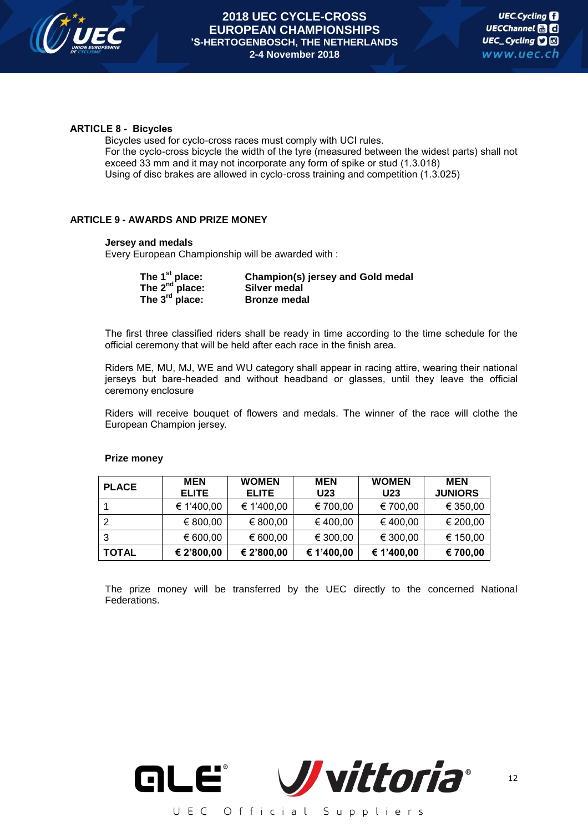

# **ARTICLE 8 - Bicycles**

Bicycles used for cyclo-cross races must comply with UCI rules. For the cyclo-cross bicycle the width of the tyre (measured between the widest parts) shall not exceed 33 mm and it may not incorporate any form of spike or stud (1.3.018) Using of disc brakes are allowed in cyclo-cross training and competition (1.3.025)

# **ARTICLE 9 - AWARDS AND PRIZE MONEY**

# **Jersey and medals**

Every European Championship will be awarded with :

| The 1 <sup>st</sup> place: | Champion(s) jersey and Gold medal |
|----------------------------|-----------------------------------|
| The $2^{nd}$ place:        | Silver medal                      |
| The $3^{\text{rd}}$ place: | <b>Bronze medal</b>               |

The first three classified riders shall be ready in time according to the time schedule for the official ceremony that will be held after each race in the finish area.

Riders ME, MU, MJ, WE and WU category shall appear in racing attire, wearing their national jerseys but bare-headed and without headband or glasses, until they leave the official ceremony enclosure

Riders will receive bouquet of flowers and medals. The winner of the race will clothe the European Champion jersey.

| <b>PLACE</b> | <b>MEN</b><br><b>ELITE</b> | <b>WOMEN</b><br><b>ELITE</b> | <b>MEN</b><br>U23 | <b>WOMEN</b><br>U23 | <b>MEN</b><br><b>JUNIORS</b> |
|--------------|----------------------------|------------------------------|-------------------|---------------------|------------------------------|
|              | € 1'400,00                 | € 1'400,00                   | € 700,00          | € 700,00            | € 350,00                     |
| 2            | € 800,00                   | € 800,00                     | €400,00           | €400,00             | € 200,00                     |
| 3            | € 600,00                   | € 600,00                     | € 300,00          | € 300,00            | € 150,00                     |
| <b>TOTAL</b> | € 2'800,00                 | € 2'800,00                   | € 1'400,00        | € 1'400,00          | € 700,00                     |

# **Prize money**

The prize money will be transferred by the UEC directly to the concerned National Federations.